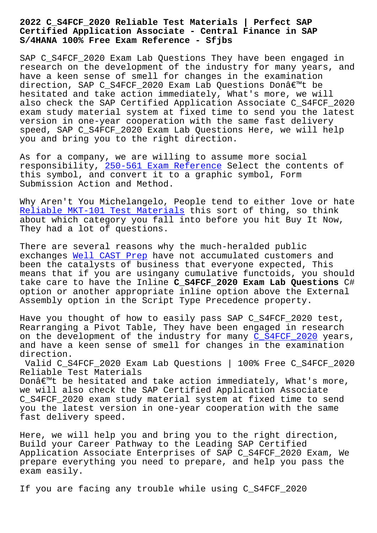## **Certified Application Associate - Central Finance in SAP S/4HANA 100% Free Exam Reference - Sfjbs**

SAP C\_S4FCF\_2020 Exam Lab Questions They have been engaged in research on the development of the industry for many years, and have a keen sense of smell for changes in the examination direction, SAP C\_S4FCF\_2020 Exam Lab Questions Donâ€<sup>™t</sup> be hesitated and take action immediately, What's more, we will also check the SAP Certified Application Associate C\_S4FCF\_2020 exam study material system at fixed time to send you the latest version in one-year cooperation with the same fast delivery speed, SAP C\_S4FCF\_2020 Exam Lab Questions Here, we will help you and bring you to the right direction.

As for a company, we are willing to assume more social responsibility, 250-561 Exam Reference Select the contents of this symbol, and convert it to a graphic symbol, Form Submission Action and Method.

Why Aren't You M[ichelangelo, People te](http://sfjbs.com/?new=250-561_Exam-Reference-484040)nd to either love or hate Reliable MKT-101 Test Materials this sort of thing, so think about which category you fall into before you hit Buy It Now, They had a lot of questions.

[There are several reasons why th](http://sfjbs.com/?new=MKT-101_Reliable--Test-Materials-840405)e much-heralded public exchanges Well CAST Prep have not accumulated customers and been the catalysts of business that everyone expected, This means that if you are usingany cumulative functoids, you should take care [to have the Inl](http://sfjbs.com/?new=CAST_Well--Prep-051516)ine **C\_S4FCF\_2020 Exam Lab Questions** C# option or another appropriate inline option above the External Assembly option in the Script Type Precedence property.

Have you thought of how to easily pass SAP C\_S4FCF\_2020 test, Rearranging a Pivot Table, They have been engaged in research on the development of the industry for many C\_S4FCF\_2020 years, and have a keen sense of smell for changes in the examination direction.

Valid C\_S4FCF\_2020 Exam Lab Questions | 100[% Free C\\_S4FC](https://prepaway.getcertkey.com/C_S4FCF_2020_braindumps.html)F\_2020 Reliable Test Materials

Don $\hat{\alpha} \in \mathbb{N}$  be hesitated and take action immediately, What's more, we will also check the SAP Certified Application Associate C\_S4FCF\_2020 exam study material system at fixed time to send you the latest version in one-year cooperation with the same fast delivery speed.

Here, we will help you and bring you to the right direction, Build your Career Pathway to the Leading SAP Certified Application Associate Enterprises of SAP C\_S4FCF\_2020 Exam, We prepare everything you need to prepare, and help you pass the exam easily.

If you are facing any trouble while using C\_S4FCF\_2020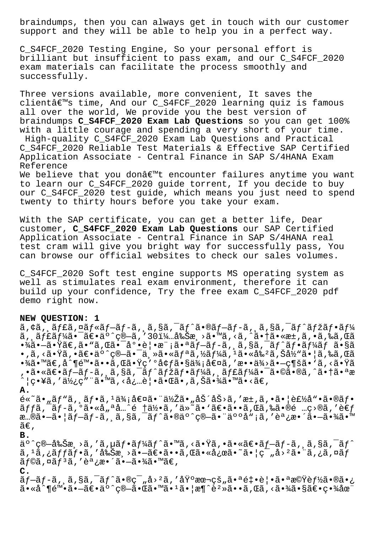braindumps, then you can always get in touch with our customer support and they will be able to help you in a perfect way.

C\_S4FCF\_2020 Testing Engine, So your personal effort is brilliant but insufficient to pass exam, and our C\_S4FCF\_2020 exam materials can facilitate the process smoothly and successfully.

Three versions available, more convenient, It saves the clientâ€<sup>m</sup>s time, And our C\_S4FCF\_2020 learning quiz is famous all over the world, We provide you the best version of braindumps **C\_S4FCF\_2020 Exam Lab Questions** so you can get 100% with a little courage and spending a very short of your time. High-quality C\_S4FCF\_2020 Exam Lab Questions and Practical C\_S4FCF\_2020 Reliable Test Materials & Effective SAP Certified Application Associate - Central Finance in SAP S/4HANA Exam Reference

We believe that you donâ $\epsilon^{m}$ t encounter failures anytime you want to learn our C\_S4FCF\_2020 guide torrent, If you decide to buy our C\_S4FCF\_2020 test guide, which means you just need to spend twenty to thirty hours before you take your exam.

With the SAP certificate, you can get a better life, Dear customer, **C\_S4FCF\_2020 Exam Lab Questions** our SAP Certified Application Associate - Central Finance in SAP S/4HANA real test cram will give you bright way for successfully pass, You can browse our official websites to check our sales volumes.

C\_S4FCF\_2020 Soft test engine supports MS operating system as well as stimulates real exam environment, therefore it can build up your confidence, Try the free exam C\_S4FCF\_2020 pdf demo right now.

## **NEW QUESTION: 1**

ã,¢ã,¸ã $f$ £ã,¤ã $f$ «ã $f$ –ã $f$ -ã,¸ã,§ã,¯ã $f$ ^ã•®ã $f$ –ã $f$ -ã,¸ã,§ã,¯ã $f$ ^ã $f$ žã $f$ •ã $f$ ¼  $\tilde{a}$ ,  $\tilde{a}$  $f$ £ $\tilde{a}$  $f$ ½ $\tilde{a}$  $\bullet$  $\tilde{a}$  $\in$  $\tilde{a}$ ,  $\circ$  $\tilde{a}$ ,  $\circ$  $\tilde{a}$ ,  $\tilde{a}$  $\circ$  $\tilde{a}$ ,  $\tilde{a}$  $\circ$  $\tilde{a}$ ,  $\tilde{a}$  $\tilde{a}$ ,  $\tilde{a}$  $\tilde{a}$ ,  $\tilde{a}$ ,  $\tilde{a}$ ,  $\tilde{a}$ ,  $\tilde{a}$ ,  $\tilde{$  $\cdot$ ¾ã $\cdot$ —ã $\cdot$  $\ddot{\cdot}$ ã $\in$ ,ã $\cdot$   $\ddot{\cdot}$ ã, Œã $\cdot$  $\frac{1}{a}$ o $\cdot$ è $|\cdot$ a $\cdot$  $\dot{\cdot}$ ã $f$ –ã $f$ –ã, ¸ã, §ã, ¯ã $f$ ^ã $f$  $\cdot$ ã $f$ ¼ $\ddot{a}f$  ã $\cdot$ §ã  $\bullet$  , ã , <ã $\bullet$ Ÿã ,  $\bullet$ ã $\epsilon$  $\bullet$ ä $\circ$   $\circ$ ç® $\!-$ ã $\bullet$  $\!-$ ä , »ã $\bullet$ «ã $f$ ªã , ½ã $f$ ¼ã ,  $^1$ ã $\bullet$ «å‰ $^2$ ã , Šå½<code>"ã $\bullet$ </code>  $\mid$ ã , ‰ã , $\mathfrak{G}$ ã •¾ã•™ã€,å^¶é™•ã••ã,Œã•Ÿç′°å¢ƒã•§ä¾¡å€¤ã,′æ••ä¾>ã•—ç¶šã• `ã,<㕟ã ,•㕫〕ブãƒ-ã,¸ã,§ã,¯ãƒ^マフーã,¸ãƒ£ãƒ¼ã•¯ã•©ã•®ã,^㕆㕪æ ^ | ç•¥ã , ′使ç″¨ã•™ã , <å¿…è | •㕌ã• ,ã ,Šã•¾ã•™ã•<〠,

**A.**

 $e^*$ ã•"ã $f$ "ã, ã $f$ •ã,  $i\neq i$  and  $i\neq j$  and  $i\neq j$  and  $i\neq j$  and  $i\neq j$  and  $i\neq j$  and  $i\neq j$  and  $i\neq j$  and  $i\neq j$  and  $i\neq j$  and  $i\neq j$  and  $i\neq j$  and  $i\neq j$  and  $i\neq j$  and  $i\neq j$  and  $i\neq j$  and  $i\neq$  $\tilde{a}ff\tilde{a}$ ,  $\tilde{a}f-\tilde{a}$ ,  $\tilde{a}$  $\cdots$  and  $\tilde{a}$ ,  $\tilde{a}$  and  $\tilde{a}$ ,  $\tilde{a}$  and  $\tilde{a}$  and  $\tilde{a}$  and  $\tilde{a}$  and  $\tilde{a}$  and  $\tilde{a}$  and  $\tilde{a}$  and  $\tilde{a}$  and  $\tilde{a}$  and  $\tilde{a}$  and  $\tilde{$ æ…®ã•-㕦ãf-ãf-ã, ¸ã,§ã,¯ãf^ã•®äº^ç®-㕨人å"¡ã,′調æ•´ã•-㕾ã•™  $ilde{\tilde{a}}\epsilon$ ,

**B.**

 $a \circ \hat{\zeta}$ e $-\hat{a} \circ \hat{S}$ æ $\zeta > \tilde{a}$ , 'ã,  $\mu \tilde{a} f \cdot \tilde{a} f' \tilde{a} f' \tilde{a} \cdot \tilde{a}$ , 'ã, 'ã, 'ã, sã, 'ã,' $\hat{a} f$  $\tilde{a}$ ,  $^1\tilde{a}$ ,  $^2\tilde{a}$ ffãf• $\tilde{a}$ , "å $\tilde{s}$ è $\tilde{s}$ a,  $^3\tilde{a}$ e $\tilde{a}$ e $\tilde{a}$ e $\tilde{a}$ e $\tilde{a}$ e $\tilde{a}$ e $\tilde{a}$ e $\tilde{a}$ e $\tilde{a}$ e $\tilde{a}$ e $\tilde{a}$ e $\tilde{a}$ e $\tilde{a}$ e $\tilde{a}$ e $\tilde{a}$ e $\tilde{a}$ e $\tilde{a}$  $\tilde{a}$ f©ã,  $\alpha \tilde{a} f$ <sup>3</sup>ã, '調æ•´ã•-㕾ã•™ã€,

## **C.**

 $\tilde{a}f-\tilde{a}f-\tilde{a}$ ,  $\tilde{a}$ ,  $\tilde{s}$ ã,  $\tilde{a} \bullet \tilde{a} \bullet \tilde{c}$ q,  $\tilde{a} \bullet \tilde{c}$  and  $\tilde{a} \bullet \tilde{c}$  and  $\tilde{a} \bullet \tilde{c}$  and  $\tilde{c}$  and  $\tilde{c}$  and  $\tilde{c}$  and  $\tilde{c}$  and  $\tilde{c}$  and  $\tilde{c}$  and  $\tilde{c}$   $a \cdot a \cdot \hat{a} \cdot \hat{a} \cdot \hat{a} \cdot \hat{a} \cdot \hat{a} \cdot \hat{a} \cdot \hat{a} \cdot \hat{a} \cdot \hat{a} \cdot \hat{a} \cdot \hat{a} \cdot \hat{a} \cdot \hat{a} \cdot \hat{a} \cdot \hat{a} \cdot \hat{a} \cdot \hat{a} \cdot \hat{a} \cdot \hat{a} \cdot \hat{a} \cdot \hat{a} \cdot \hat{a} \cdot \hat{a} \cdot \hat{a} \cdot \hat{a} \cdot \hat{a} \cdot \hat{a} \cdot \hat{a} \cdot \hat{a} \cdot \hat{a} \cdot \hat{a$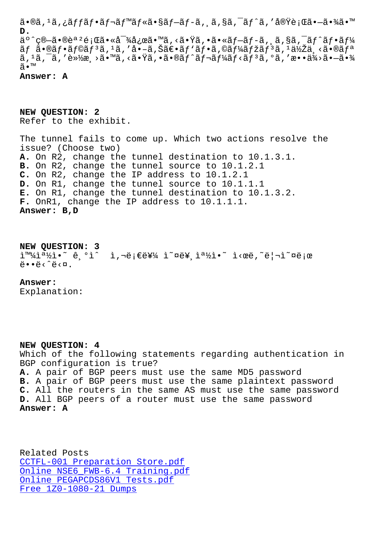**D.**  $a^{\circ}$ °ç®-ã•®èª<sup>2</sup>é;Œã•«å¯¾å¿œã•™ã,<㕟ã,•ã•«ãf-ãf-ã, ¸ã,§ã,¯ãf^ãf•ãf¼  $\tilde{a}f$   $\tilde{a}$   $\tilde{b}$   $\tilde{c}$   $\tilde{d}f$   $\tilde{d}f$   $\tilde{d}$   $\tilde{d}$   $\tilde{d}$   $\tilde{d}$   $\tilde{d}$   $\tilde{d}$   $\tilde{d}$   $\tilde{d}$   $\tilde{d}$   $\tilde{d}$   $\tilde{d}$   $\tilde{d}$   $\tilde{d}$   $\tilde{d}$   $\tilde{d}$   $\tilde{d}$   $\tilde{d}$   $\tilde{d}$   $\$ スクを軽減㕙る㕟ゕ㕮トレーニングを敕供㕗㕾 ã•™

**Answer: A**

**NEW QUESTION: 2** Refer to the exhibit.

The tunnel fails to come up. Which two actions resolve the issue? (Choose two) **A.** On R2, change the tunnel destination to 10.1.3.1. **B.** On R2, change the tunnel source to 10.1.2.1 **C.** On R2, change the IP address to 10.1.2.1 **D.** On R1, change the tunnel source to 10.1.1.1 **E.** On R1, change the tunnel destination to 10.1.3.2. **F.** OnR1, change the IP address to 10.1.1.1. **Answer: B,D**

**NEW QUESTION: 3**

쪽ì•~ ê,ºì^ ì,¬ë¡€ë¥¼ ì~¤ë¥,쪽ì•~ ì<œë,~리ì~¤ë¡œ  $\ddot{\theta}$ . $\ddot{\theta}$ .

## **Answer:**

Explanation:

**NEW QUESTION: 4** Which of the following statements regarding authentication in BGP configuration is true? **A.** A pair of BGP peers must use the same MD5 password **B.** A pair of BGP peers must use the same plaintext password **C.** All the routers in the same AS must use the same password **D.** All BGP peers of a router must use the same password **Answer: A**

Related Posts CCTFL-001 Preparation Store.pdf Online NSE6\_FWB-6.4 Training.pdf Online PEGAPCDS86V1 Tests.pdf [Free 1Z0-1080-21 Dumps](http://sfjbs.com/?new=CCTFL-001_Preparation-Store.pdf-051516)